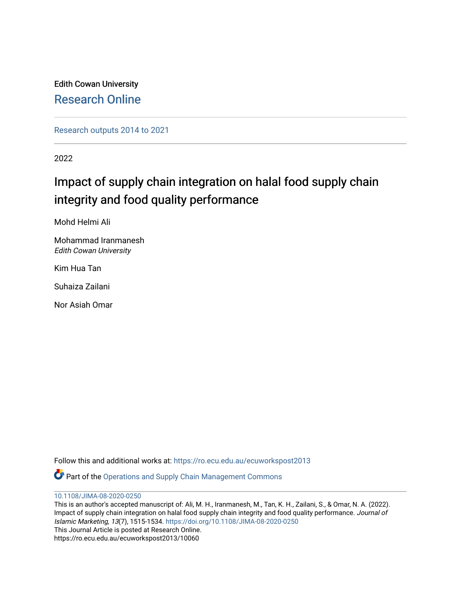Edith Cowan University [Research Online](https://ro.ecu.edu.au/) 

[Research outputs 2014 to 2021](https://ro.ecu.edu.au/ecuworkspost2013) 

2022

# Impact of supply chain integration on halal food supply chain integrity and food quality performance

Mohd Helmi Ali

Mohammad Iranmanesh Edith Cowan University

Kim Hua Tan

Suhaiza Zailani

Nor Asiah Omar

Follow this and additional works at: [https://ro.ecu.edu.au/ecuworkspost2013](https://ro.ecu.edu.au/ecuworkspost2013?utm_source=ro.ecu.edu.au%2Fecuworkspost2013%2F10060&utm_medium=PDF&utm_campaign=PDFCoverPages) 

Part of the [Operations and Supply Chain Management Commons](https://network.bepress.com/hgg/discipline/1229?utm_source=ro.ecu.edu.au%2Fecuworkspost2013%2F10060&utm_medium=PDF&utm_campaign=PDFCoverPages) 

[10.1108/JIMA-08-2020-0250](http://dx.doi.org/10.1108/JIMA-08-2020-0250) 

This is an author's accepted manuscript of: Ali, M. H., Iranmanesh, M., Tan, K. H., Zailani, S., & Omar, N. A. (2022). Impact of supply chain integration on halal food supply chain integrity and food quality performance. Journal of Islamic Marketing, 13(7), 1515-1534.<https://doi.org/10.1108/JIMA-08-2020-0250> This Journal Article is posted at Research Online. https://ro.ecu.edu.au/ecuworkspost2013/10060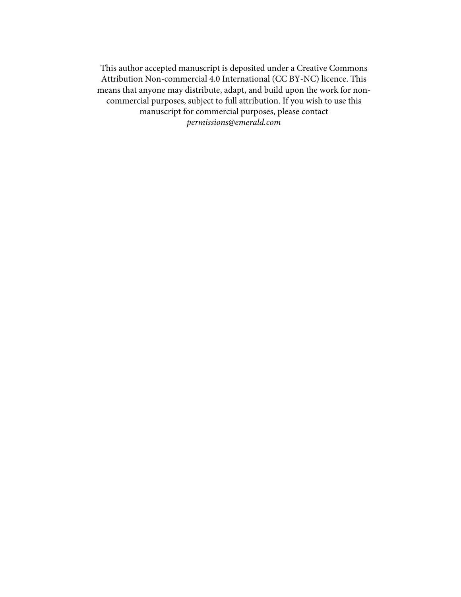This author accepted manuscript is deposited under a Creative Commons Attribution Non-commercial 4.0 International ([CC BY-NC\)](http://creativecommons.org/licenses/by-nc/4.0/) licence. This means that anyone may distribute, adapt, and build upon the work for noncommercial purposes, subject to full attribution. If you wish to use this manuscript for commercial purposes, please contact *permissions@emerald.com*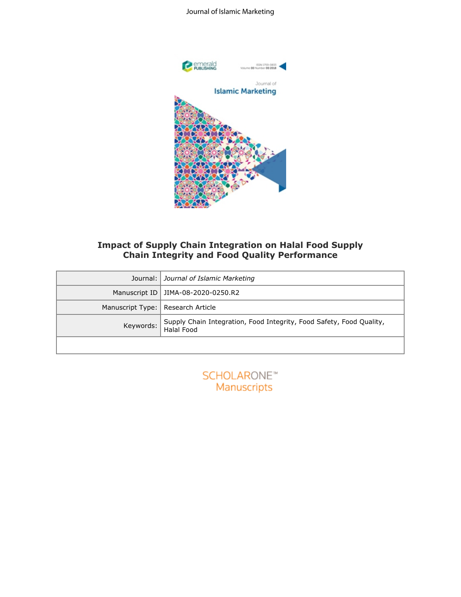## Journal of Islamic Marketing



## **Impact of Supply Chain Integration on Halal Food Supply Chain Integrity and Food Quality Performance**

| <b>Impact of Supply Chain Integration on Halal Food Supply</b><br><b>Chain Integrity and Food Quality Performance</b> |                                                                                    |  |  |  |  |  |  |
|-----------------------------------------------------------------------------------------------------------------------|------------------------------------------------------------------------------------|--|--|--|--|--|--|
| Journal:                                                                                                              | Journal of Islamic Marketing                                                       |  |  |  |  |  |  |
| Manuscript ID                                                                                                         | JIMA-08-2020-0250.R2                                                               |  |  |  |  |  |  |
| Manuscript Type:                                                                                                      | Research Article                                                                   |  |  |  |  |  |  |
| Keywords:                                                                                                             | Supply Chain Integration, Food Integrity, Food Safety, Food Quality,<br>Halal Food |  |  |  |  |  |  |
|                                                                                                                       |                                                                                    |  |  |  |  |  |  |
|                                                                                                                       | <b>SCHOLARONE™</b><br>Manuscripts                                                  |  |  |  |  |  |  |

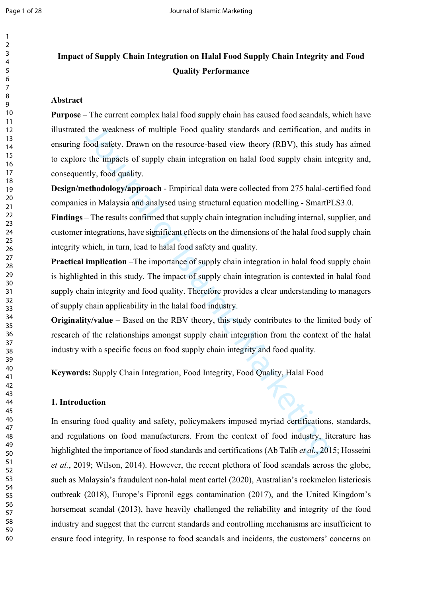## **Impact of Supply Chain Integration on Halal Food Supply Chain Integrity and Food Quality Performance**

#### **Abstract**

the weakness of multiple Food quality standards and certification, and<br>cood safety. Drawn on the resource-based view theory (RBV), this stud;<br>the impacts of supply chain integration on halal food supply chain in<br>thy, food **Purpose** – The current complex halal food supply chain has caused food scandals, which have illustrated the weakness of multiple Food quality standards and certification, and audits in ensuring food safety. Drawn on the resource-based view theory (RBV), this study has aimed to explore the impacts of supply chain integration on halal food supply chain integrity and, consequently, food quality.

**Design/methodology/approach** - Empirical data were collected from 275 halal-certified food companies in Malaysia and analysed using structural equation modelling - SmartPLS3.0.

**Findings** – The results confirmed that supply chain integration including internal, supplier, and customer integrations, have significant effects on the dimensions of the halal food supply chain integrity which, in turn, lead to halal food safety and quality.

**Practical implication** –The importance of supply chain integration in halal food supply chain is highlighted in this study. The impact of supply chain integration is contexted in halal food supply chain integrity and food quality. Therefore provides a clear understanding to managers of supply chain applicability in the halal food industry.

**Originality/value** – Based on the RBV theory, this study contributes to the limited body of research of the relationships amongst supply chain integration from the context of the halal industry with a specific focus on food supply chain integrity and food quality.

**Keywords:** Supply Chain Integration, Food Integrity, Food Quality, Halal Food

#### **1. Introduction**

In ensuring food quality and safety, policymakers imposed myriad certifications, standards, and regulations on food manufacturers. From the context of food industry, literature has highlighted the importance of food standards and certifications (Ab Talib *et al.*, 2015; Hosseini *et al.*, 2019; Wilson, 2014). However, the recent plethora of food scandals across the globe, such as Malaysia's fraudulent non-halal meat cartel (2020), Australian's rockmelon listeriosis outbreak (2018), Europe's Fipronil eggs contamination (2017), and the United Kingdom's horsemeat scandal (2013), have heavily challenged the reliability and integrity of the food industry and suggest that the current standards and controlling mechanisms are insufficient to ensure food integrity. In response to food scandals and incidents, the customers' concerns on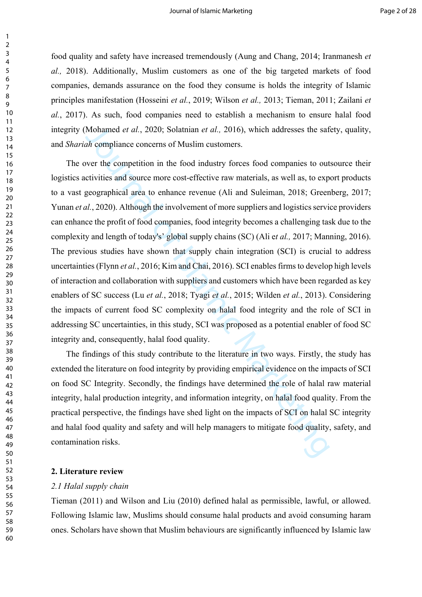food quality and safety have increased tremendously (Aung and Chang, 2014; Iranmanesh *et al.,* 2018). Additionally, Muslim customers as one of the big targeted markets of food companies, demands assurance on the food they consume is holds the integrity of Islamic principles manifestation (Hosseini *et al.*, 2019; Wilson *et al.,* 2013; Tieman, 2011; Zailani *et al.*, 2017). As such, food companies need to establish a mechanism to ensure halal food integrity (Mohamed *et al.*, 2020; Solatnian *et al.,* 2016), which addresses the safety, quality, and *Shariah* compliance concerns of Muslim customers.

Mohamed *et al.*, 2020; Solatnian *et al.*, 2016), which addresses the saf<br>*ah* compliance concerns of Muslim customers.<br>
wer the competition in the food industry forces food companies to out<br>
civities and source more cos The over the competition in the food industry forces food companies to outsource their logistics activities and source more cost-effective raw materials, as well as, to export products to a vast geographical area to enhance revenue (Ali and Suleiman, 2018; Greenberg, 2017; Yunan *et al.*, 2020). Although the involvement of more suppliers and logistics service providers can enhance the profit of food companies, food integrity becomes a challenging task due to the complexity and length of today's' global supply chains (SC) (Ali e*t al.,* 2017; Manning, 2016). The previous studies have shown that supply chain integration (SCI) is crucial to address uncertainties (Flynn *et al.*, 2016; Kim and Chai, 2016). SCI enables firms to develop high levels of interaction and collaboration with suppliers and customers which have been regarded as key enablers of SC success (Lu *et al.*, 2018; Tyagi *et al.*, 2015; Wilden *et al.*, 2013). Considering the impacts of current food SC complexity on halal food integrity and the role of SCI in addressing SC uncertainties, in this study, SCI was proposed as a potential enabler of food SC integrity and, consequently, halal food quality.

The findings of this study contribute to the literature in two ways. Firstly, the study has extended the literature on food integrity by providing empirical evidence on the impacts of SCI on food SC Integrity. Secondly, the findings have determined the role of halal raw material integrity, halal production integrity, and information integrity, on halal food quality. From the practical perspective, the findings have shed light on the impacts of SCI on halal SC integrity and halal food quality and safety and will help managers to mitigate food quality, safety, and contamination risks.

#### **2. Literature review**

#### *2.1 Halal supply chain*

Tieman (2011) and Wilson and Liu (2010) defined halal as permissible, lawful, or allowed. Following Islamic law, Muslims should consume halal products and avoid consuming haram ones. Scholars have shown that Muslim behaviours are significantly influenced by Islamic law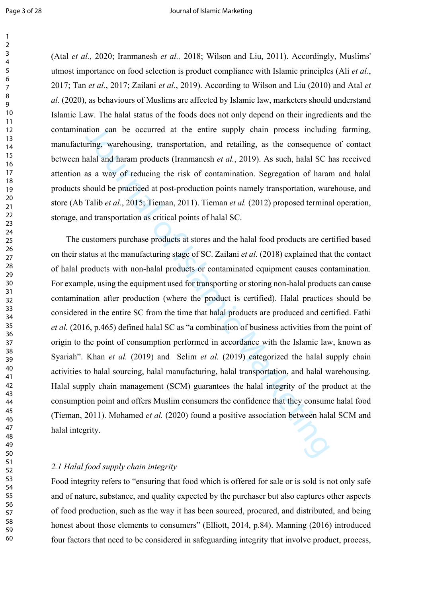(Atal *et al.,* 2020; Iranmanesh *et al.,* 2018; Wilson and Liu, 2011). Accordingly, Muslims' utmost importance on food selection is product compliance with Islamic principles (Ali *et al.*, 2017; Tan *et al.*, 2017; Zailani *et al.*, 2019). According to Wilson and Liu (2010) and Atal *et al.* (2020), as behaviours of Muslims are affected by Islamic law, marketers should understand Islamic Law. The halal status of the foods does not only depend on their ingredients and the contamination can be occurred at the entire supply chain process including farming, manufacturing, warehousing, transportation, and retailing, as the consequence of contact between halal and haram products (Iranmanesh *et al.*, 2019). As such, halal SC has received attention as a way of reducing the risk of contamination. Segregation of haram and halal products should be practiced at post-production points namely transportation, warehouse, and store (Ab Talib *et al.*, 2015; Tieman, 2011). Tieman *et al.* (2012) proposed terminal operation, storage, and transportation as critical points of halal SC.

ition can be occurred at the entire supply chain process including, warehousing, transportation, and retailing, as the consequence alal and haram products (Irammanesh *et al.*, 2019). As such, halal SC leas a way of reduc The customers purchase products at stores and the halal food products are certified based on their status at the manufacturing stage of SC. Zailani *et al.* (2018) explained that the contact of halal products with non-halal products or contaminated equipment causes contamination. For example, using the equipment used for transporting or storing non-halal products can cause contamination after production (where the product is certified). Halal practices should be considered in the entire SC from the time that halal products are produced and certified. Fathi *et al.* (2016, p.465) defined halal SC as "a combination of business activities from the point of origin to the point of consumption performed in accordance with the Islamic law, known as Syariah". Khan *et al.* (2019) and Selim *et al.* (2019) categorized the halal supply chain activities to halal sourcing, halal manufacturing, halal transportation, and halal warehousing. Halal supply chain management (SCM) guarantees the halal integrity of the product at the consumption point and offers Muslim consumers the confidence that they consume halal food (Tieman, 2011). Mohamed *et al.* (2020) found a positive association between halal SCM and halal integrity.

## *2.1 Halal food supply chain integrity*

Food integrity refers to "ensuring that food which is offered for sale or is sold is not only safe and of nature, substance, and quality expected by the purchaser but also captures other aspects of food production, such as the way it has been sourced, procured, and distributed, and being honest about those elements to consumers" (Elliott, 2014, p.84). Manning (2016) introduced four factors that need to be considered in safeguarding integrity that involve product, process,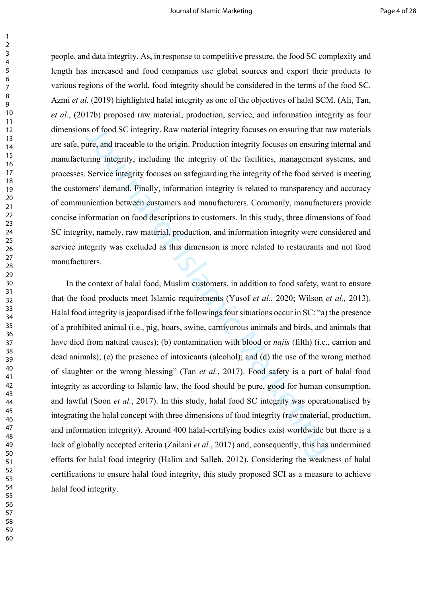people, and data integrity. As, in response to competitive pressure, the food SC complexity and length has increased and food companies use global sources and export their products to various regions of the world, food integrity should be considered in the terms of the food SC. Azmi *et al.* (2019) highlighted halal integrity as one of the objectives of halal SCM. (Ali, Tan, *et al.*, (2017b) proposed raw material, production, service, and information integrity as four dimensions of food SC integrity. Raw material integrity focuses on ensuring that raw materials are safe, pure, and traceable to the origin. Production integrity focuses on ensuring internal and manufacturing integrity, including the integrity of the facilities, management systems, and processes. Service integrity focuses on safeguarding the integrity of the food served is meeting the customers' demand. Finally, information integrity is related to transparency and accuracy of communication between customers and manufacturers. Commonly, manufacturers provide concise information on food descriptions to customers. In this study, three dimensions of food SC integrity, namely, raw material, production, and information integrity were considered and service integrity was excluded as this dimension is more related to restaurants and not food manufacturers.

is of food SC integrity. Raw material integrity focuses on ensuring that rates<br>
ure, and traceable to the origin. Production integrity focuses on ensuring<br>
uring integrity, including the integrity of the facilities, manag In the context of halal food, Muslim customers, in addition to food safety, want to ensure that the food products meet Islamic requirements (Yusof *et al.*, 2020; Wilson *et al.,* 2013). Halal food integrity is jeopardised if the followings four situations occur in SC: "a) the presence of a prohibited animal (i.e., pig, boars, swine, carnivorous animals and birds, and animals that have died from natural causes); (b) contamination with blood or *najis* (filth) (i.e., carrion and dead animals); (c) the presence of intoxicants (alcohol); and (d) the use of the wrong method of slaughter or the wrong blessing" (Tan *et al.*, 2017). Food safety is a part of halal food integrity as according to Islamic law, the food should be pure, good for human consumption, and lawful (Soon *et al.*, 2017). In this study, halal food SC integrity was operationalised by integrating the halal concept with three dimensions of food integrity (raw material, production, and information integrity). Around 400 halal-certifying bodies exist worldwide but there is a lack of globally accepted criteria (Zailani *et al.*, 2017) and, consequently, this has undermined efforts for halal food integrity (Halim and Salleh, 2012). Considering the weakness of halal certifications to ensure halal food integrity, this study proposed SCI as a measure to achieve halal food integrity.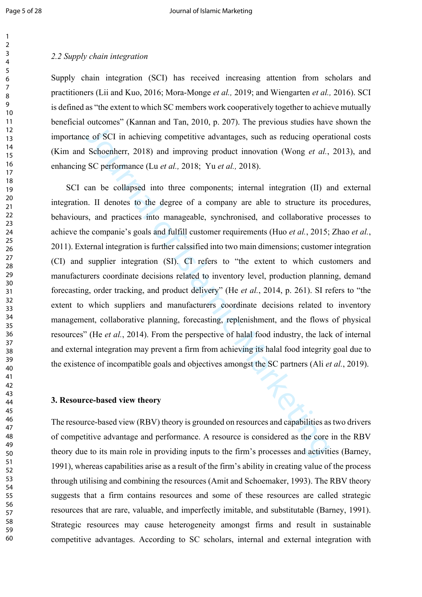## *2.2 Supply chain integration*

Supply chain integration (SCI) has received increasing attention from scholars and practitioners (Lii and Kuo, 2016; Mora-Monge *et al.,* 2019; and Wiengarten *et al.,* 2016). SCI is defined as "the extent to which SC members work cooperatively together to achieve mutually beneficial outcomes" (Kannan and Tan, 2010, p. 207). The previous studies have shown the importance of SCI in achieving competitive advantages, such as reducing operational costs (Kim and Schoenherr, 2018) and improving product innovation (Wong *et al.*, 2013), and enhancing SC performance (Lu *et al.,* 2018; Yu *et al.,* 2018).

et of SCI in achieving competitive dynamics, such as reducing operator and every for SCI in achieving competitive advantages, such as reducing operators. SC performance (Lu *et al.*, 2018; Yu *et al.*, 2018).<br>SC performan SCI can be collapsed into three components; internal integration (II) and external integration. II denotes to the degree of a company are able to structure its procedures, behaviours, and practices into manageable, synchronised, and collaborative processes to achieve the companie's goals and fulfill customer requirements (Huo *et al.*, 2015; Zhao *et al.*, 2011). External integration is further calssified into two main dimensions; customer integration (CI) and supplier integration (SI). CI refers to "the extent to which customers and manufacturers coordinate decisions related to inventory level, production planning, demand forecasting, order tracking, and product delivery" (He *et al.*, 2014, p. 261). SI refers to "the extent to which suppliers and manufacturers coordinate decisions related to inventory management, collaborative planning, forecasting, replenishment, and the flows of physical resources" (He *et al.*, 2014). From the perspective of halal food industry, the lack of internal and external integration may prevent a firm from achieving its halal food integrity goal due to the existence of incompatible goals and objectives amongst the SC partners (Ali *et al.*, 2019).

#### **3. Resource-based view theory**

The resource-based view (RBV) theory is grounded on resources and capabilities as two drivers of competitive advantage and performance. A resource is considered as the core in the RBV theory due to its main role in providing inputs to the firm's processes and activities (Barney, 1991), whereas capabilities arise as a result of the firm's ability in creating value of the process through utilising and combining the resources (Amit and Schoemaker, 1993). The RBV theory suggests that a firm contains resources and some of these resources are called strategic resources that are rare, valuable, and imperfectly imitable, and substitutable (Barney, 1991). Strategic resources may cause heterogeneity amongst firms and result in sustainable competitive advantages. According to SC scholars, internal and external integration with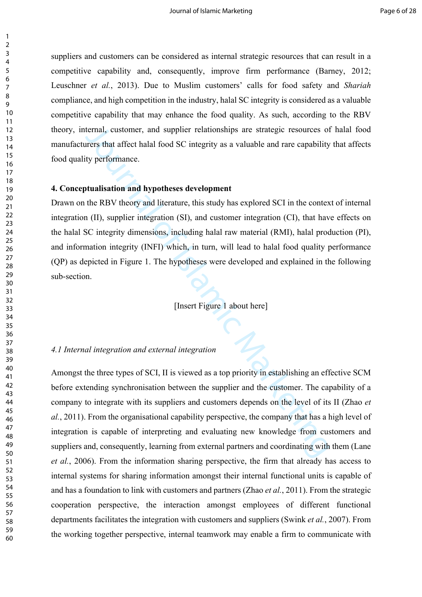suppliers and customers can be considered as internal strategic resources that can result in a competitive capability and, consequently, improve firm performance (Barney, 2012; Leuschner *et al.*, 2013). Due to Muslim customers' calls for food safety and *Shariah* compliance, and high competition in the industry, halal SC integrity is considered as a valuable competitive capability that may enhance the food quality. As such, according to the RBV theory, internal, customer, and supplier relationships are strategic resources of halal food manufacturers that affect halal food SC integrity as a valuable and rare capability that affects food quality performance.

#### **4. Conceptualisation and hypotheses development**

Drawn on the RBV theory and literature, this study has explored SCI in the context of internal integration (II), supplier integration (SI), and customer integration (CI), that have effects on the halal SC integrity dimensions, including halal raw material (RMI), halal production (PI), and information integrity (INFI) which, in turn, will lead to halal food quality performance (QP) as depicted in Figure 1. The hypotheses were developed and explained in the following sub-section.

[Insert Figure 1 about here]

## *4.1 Internal integration and external integration*

ternal, customer, and supplier relationships are strategic resources of<br>teres that affect halal food SC integrity as a valuable and rare capability<br>ty performance.<br>
that affect halal food SC integrity as a valuable and rar Amongst the three types of SCI, II is viewed as a top priority in establishing an effective SCM before extending synchronisation between the supplier and the customer. The capability of a company to integrate with its suppliers and customers depends on the level of its II (Zhao *et al.*, 2011). From the organisational capability perspective, the company that has a high level of integration is capable of interpreting and evaluating new knowledge from customers and suppliers and, consequently, learning from external partners and coordinating with them (Lane *et al.*, 2006). From the information sharing perspective, the firm that already has access to internal systems for sharing information amongst their internal functional units is capable of and has a foundation to link with customers and partners (Zhao *et al.*, 2011). From the strategic cooperation perspective, the interaction amongst employees of different functional departments facilitates the integration with customers and suppliers (Swink *et al.*, 2007). From the working together perspective, internal teamwork may enable a firm to communicate with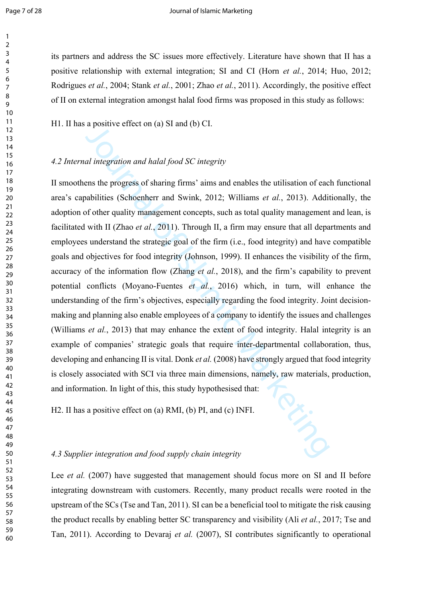#### Page 7 of 28 **Decision 28** Journal of Islamic Marketing

its partners and address the SC issues more effectively. Literature have shown that II has a positive relationship with external integration; SI and CI (Horn *et al.*, 2014; Huo, 2012; Rodrigues *et al.*, 2004; Stank *et al.*, 2001; Zhao *et al.*, 2011). Accordingly, the positive effect of II on external integration amongst halal food firms was proposed in this study as follows:

H1. II has a positive effect on (a) SI and (b) CI.

## *4.2 Internal integration and halal food SC integrity*

a positive entert on (a) si and (o) et.<br>
ad integration and halal food SC integrity<br>
ens the progress of sharing firms' aims and enables the utilisation of eac<br>
based it is (Schoenherr and Swink, 2012; Williams *et al.*, II smoothens the progress of sharing firms' aims and enables the utilisation of each functional area's capabilities (Schoenherr and Swink, 2012; Williams *et al.*, 2013). Additionally, the adoption of other quality management concepts, such as total quality management and lean, is facilitated with II (Zhao *et al.*, 2011). Through II, a firm may ensure that all departments and employees understand the strategic goal of the firm (i.e., food integrity) and have compatible goals and objectives for food integrity (Johnson, 1999). II enhances the visibility of the firm, accuracy of the information flow (Zhang *et al.*, 2018), and the firm's capability to prevent potential conflicts (Moyano-Fuentes *et al.*, 2016) which, in turn, will enhance the understanding of the firm's objectives, especially regarding the food integrity. Joint decisionmaking and planning also enable employees of a company to identify the issues and challenges (Williams *et al.*, 2013) that may enhance the extent of food integrity. Halal integrity is an example of companies' strategic goals that require inter-departmental collaboration, thus, developing and enhancing II is vital. Donk *et al.* (2008) have strongly argued that food integrity is closely associated with SCI via three main dimensions, namely, raw materials, production, and information. In light of this, this study hypothesised that:

H2. II has a positive effect on (a) RMI, (b) PI, and (c) INFI.

## *4.3 Supplier integration and food supply chain integrity*

Lee *et al.* (2007) have suggested that management should focus more on SI and II before integrating downstream with customers. Recently, many product recalls were rooted in the upstream of the SCs (Tse and Tan, 2011). SI can be a beneficial tool to mitigate the risk causing the product recalls by enabling better SC transparency and visibility (Ali *et al.*, 2017; Tse and Tan, 2011). According to Devaraj *et al.* (2007), SI contributes significantly to operational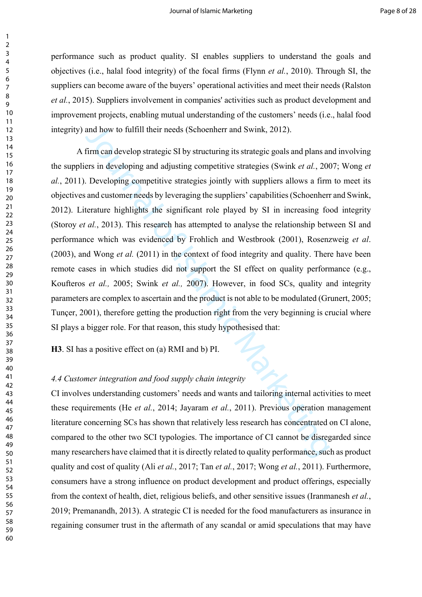performance such as product quality. SI enables suppliers to understand the goals and objectives (i.e., halal food integrity) of the focal firms (Flynn *et al.*, 2010). Through SI, the suppliers can become aware of the buyers' operational activities and meet their needs (Ralston *et al.*, 2015). Suppliers involvement in companies' activities such as product development and improvement projects, enabling mutual understanding of the customers' needs (i.e., halal food integrity) and how to fulfill their needs (Schoenherr and Swink, 2012).

and how to fulfill their needs (Schoenherr and Swink, 2012).<br>
firm can develop strategic SI by structuring its strategic goals and plans ares in developing and adjusting competitive strategies (Swink *et al.*, 200. Develo A firm can develop strategic SI by structuring its strategic goals and plans and involving the suppliers in developing and adjusting competitive strategies (Swink *et al.*, 2007; Wong *et al.*, 2011). Developing competitive strategies jointly with suppliers allows a firm to meet its objectives and customer needs by leveraging the suppliers' capabilities (Schoenherr and Swink, 2012). Literature highlights the significant role played by SI in increasing food integrity (Storoy *et al.*, 2013). This research has attempted to analyse the relationship between SI and performance which was evidenced by Frohlich and Westbrook (2001), Rosenzweig *et al*. (2003), and Wong *et al.* (2011) in the context of food integrity and quality. There have been remote cases in which studies did not support the SI effect on quality performance (e.g., Koufteros *et al.,* 2005; Swink *et al.,* 2007). However, in food SCs, quality and integrity parameters are complex to ascertain and the product is not able to be modulated (Grunert, 2005; Tunçer, 2001), therefore getting the production right from the very beginning is crucial where SI plays a bigger role. For that reason, this study hypothesised that:

**H3**. SI has a positive effect on (a) RMI and b) PI.

## *4.4 Customer integration and food supply chain integrity*

CI involves understanding customers' needs and wants and tailoring internal activities to meet these requirements (He *et al.*, 2014; Jayaram *et al.*, 2011). Previous operation management literature concerning SCs has shown that relatively less research has concentrated on CI alone, compared to the other two SCI typologies. The importance of CI cannot be disregarded since many researchers have claimed that it is directly related to quality performance, such as product quality and cost of quality (Ali *et al.*, 2017; Tan *et al.*, 2017; Wong *et al.*, 2011). Furthermore, consumers have a strong influence on product development and product offerings, especially from the context of health, diet, religious beliefs, and other sensitive issues (Iranmanesh *et al.*, 2019; Premanandh, 2013). A strategic CI is needed for the food manufacturers as insurance in regaining consumer trust in the aftermath of any scandal or amid speculations that may have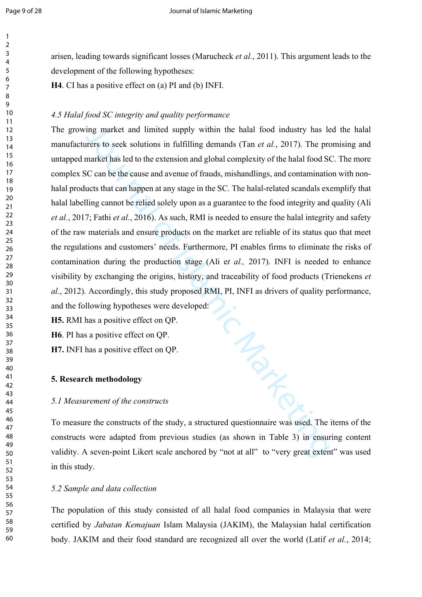arisen, leading towards significant losses (Marucheck *et al.*, 2011). This argument leads to the development of the following hypotheses:

**H4**. CI has a positive effect on (a) PI and (b) INFI.

## *4.5 Halal food SC integrity and quality performance*

The growing market and limited supply within the halal food industry has led the halal manufacturers to seek solutions in fulfilling demands (Tan *et al.*, 2017). The promising and untapped market has led to the extension and global complexity of the halal food SC. The more complex SC can be the cause and avenue of frauds, mishandlings, and contamination with nonhalal products that can happen at any stage in the SC. The halal-related scandals exemplify that halal labelling cannot be relied solely upon as a guarantee to the food integrity and quality (Ali *et al.*, 2017; Fathi *et al.*, 2016). As such, RMI is needed to ensure the halal integrity and safety of the raw materials and ensure products on the market are reliable of its status quo that meet the regulations and customers' needs. Furthermore, PI enables firms to eliminate the risks of contamination during the production stage (Ali e*t al.,* 2017). INFI is needed to enhance visibility by exchanging the origins, history, and traceability of food products (Trienekens *et al.*, 2012). Accordingly, this study proposed RMI, PI, INFI as drivers of quality performance, and the following hypotheses were developed:

**H5.** RMI has a positive effect on QP.

**H6**. PI has a positive effect on QP.

**H7.** INFI has a positive effect on QP.

#### **5. Research methodology**

#### *5.1 Measurement of the constructs*

C Market To measure the constructs of the study, a structured questionnaire was used. The items of the constructs were adapted from previous studies (as shown in Table 3) in ensuring content validity. A seven-point Likert scale anchored by "not at all" to "very great extent" was used in this study.

## *5.2 Sample and data collection*

The population of this study consisted of all halal food companies in Malaysia that were certified by *Jabatan Kemajuan* Islam Malaysia (JAKIM), the Malaysian halal certification body. JAKIM and their food standard are recognized all over the world (Latif *et al.*, 2014;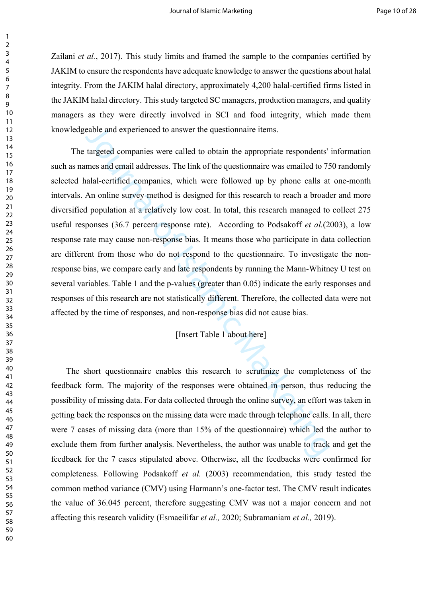Zailani *et al.*, 2017). This study limits and framed the sample to the companies certified by JAKIM to ensure the respondents have adequate knowledge to answer the questions about halal integrity. From the JAKIM halal directory, approximately 4,200 halal-certified firms listed in the JAKIM halal directory. This study targeted SC managers, production managers, and quality managers as they were directly involved in SCI and food integrity, which made them knowledgeable and experienced to answer the questionnaire items.

eable and experienced to answer the questionnaire items.<br>
targeted companies were called to obtain the appropriate respondents'<br>
mes and email addresses. The link of the questionnaire was emailed to 75<br>
alal-certified comp The targeted companies were called to obtain the appropriate respondents' information such as names and email addresses. The link of the questionnaire was emailed to 750 randomly selected halal-certified companies, which were followed up by phone calls at one-month intervals. An online survey method is designed for this research to reach a broader and more diversified population at a relatively low cost. In total, this research managed to collect 275 useful responses (36.7 percent response rate). According to Podsakoff *et al.*(2003), a low response rate may cause non-response bias. It means those who participate in data collection are different from those who do not respond to the questionnaire. To investigate the nonresponse bias, we compare early and late respondents by running the Mann-Whitney U test on several variables. Table 1 and the p-values (greater than 0.05) indicate the early responses and responses of this research are not statistically different. Therefore, the collected data were not affected by the time of responses, and non-response bias did not cause bias.

## [Insert Table 1 about here]

The short questionnaire enables this research to scrutinize the completeness of the feedback form. The majority of the responses were obtained in person, thus reducing the possibility of missing data. For data collected through the online survey, an effort was taken in getting back the responses on the missing data were made through telephone calls. In all, there were 7 cases of missing data (more than 15% of the questionnaire) which led the author to exclude them from further analysis. Nevertheless, the author was unable to track and get the feedback for the 7 cases stipulated above. Otherwise, all the feedbacks were confirmed for completeness. Following Podsakoff *et al.* (2003) recommendation, this study tested the common method variance (CMV) using Harmann's one-factor test. The CMV result indicates the value of 36.045 percent, therefore suggesting CMV was not a major concern and not affecting this research validity (Esmaeilifar *et al.,* 2020; Subramaniam *et al.,* 2019).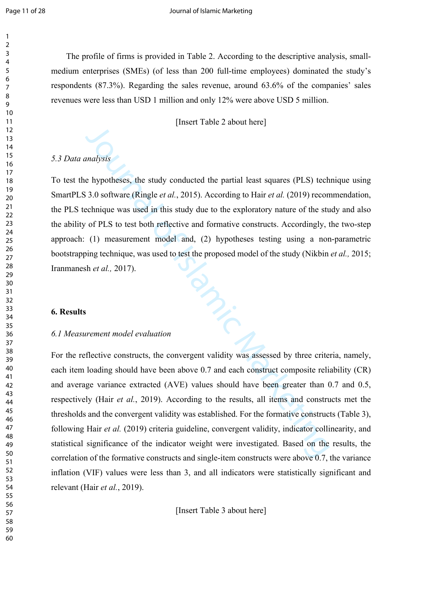#### Page 11 of 28 **Decision 120 Figure 11 of 28** Journal of Islamic Marketing

The profile of firms is provided in Table 2. According to the descriptive analysis, smallmedium enterprises (SMEs) (of less than 200 full-time employees) dominated the study's respondents (87.3%). Regarding the sales revenue, around 63.6% of the companies' sales revenues were less than USD 1 million and only 12% were above USD 5 million.

[Insert Table 2 about here]

## *5.3 Data analysis*

To test the hypotheses, the study conducted the partial least squares (PLS) technique using SmartPLS 3.0 software (Ringle *et al.*, 2015). According to Hair *et al.* (2019) recommendation, the PLS technique was used in this study due to the exploratory nature of the study and also the ability of PLS to test both reflective and formative constructs. Accordingly, the two-step approach: (1) measurement model and, (2) hypotheses testing using a non-parametric bootstrapping technique, was used to test the proposed model of the study (Nikbin *et al.,* 2015; Iranmanesh *et al.,* 2017).

#### **6. Results**

#### *6.1 Measurement model evaluation*

the extractor of the partial least squares (PLS) technology<br>
individual of the partial least squares (PLS) technology<br>
3.0 software (Ringle *et al.*, 2015). According to Hair *et al.* (2019) reconce<br>
behind the was used i For the reflective constructs, the convergent validity was assessed by three criteria, namely, each item loading should have been above 0.7 and each construct composite reliability (CR) and average variance extracted (AVE) values should have been greater than 0.7 and 0.5, respectively (Hair *et al.*, 2019). According to the results, all items and constructs met the thresholds and the convergent validity was established. For the formative constructs (Table 3), following Hair *et al.* (2019) criteria guideline, convergent validity, indicator collinearity, and statistical significance of the indicator weight were investigated. Based on the results, the correlation of the formative constructs and single-item constructs were above 0.7, the variance inflation (VIF) values were less than 3, and all indicators were statistically significant and relevant (Hair *et al.*, 2019).

[Insert Table 3 about here]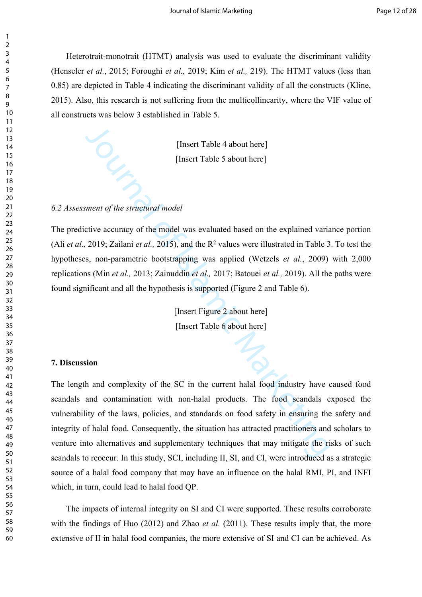Heterotrait-monotrait (HTMT) analysis was used to evaluate the discriminant validity (Henseler *et al.*, 2015; Foroughi *et al.,* 2019; Kim *et al.,* 219). The HTMT values (less than 0.85) are depicted in Table 4 indicating the discriminant validity of all the constructs (Kline, 2015). Also, this research is not suffering from the multicollinearity, where the VIF value of all constructs was below 3 established in Table 5.

> [Insert Table 4 about here] [Insert Table 5 about here]

## *6.2 Assessment of the structural model*

The predictive accuracy of the model was evaluated based on the explained variance portion (Ali *et al.,* 2019; Zailani *et al.,* 2015), and the R<sup>2</sup> values were illustrated in Table 3. To test the hypotheses, non-parametric bootstrapping was applied (Wetzels *et al.*, 2009) with 2,000 replications (Min *et al.,* 2013; Zainuddin *et al.,* 2017; Batouei *et al.,* 2019). All the paths were found significant and all the hypothesis is supported (Figure 2 and Table 6).

> [Insert Figure 2 about here] [Insert Table 6 about here]

## **7. Discussion**

[Insert Table 4 about here]<br>
[Insert Table 5 about here]<br>
Insert Table 5 about here]<br>
Insert Table 5 about here]<br> *ment of the structural model*<br>  $2019$ ; Zailani *et al.*, 2015), and the R<sup>2</sup> values were illustrated in Ta The length and complexity of the SC in the current halal food industry have caused food scandals and contamination with non-halal products. The food scandals exposed the vulnerability of the laws, policies, and standards on food safety in ensuring the safety and integrity of halal food. Consequently, the situation has attracted practitioners and scholars to venture into alternatives and supplementary techniques that may mitigate the risks of such scandals to reoccur. In this study, SCI, including II, SI, and CI, were introduced as a strategic source of a halal food company that may have an influence on the halal RMI, PI, and INFI which, in turn, could lead to halal food QP.

The impacts of internal integrity on SI and CI were supported. These results corroborate with the findings of Huo (2012) and Zhao *et al.* (2011). These results imply that, the more extensive of II in halal food companies, the more extensive of SI and CI can be achieved. As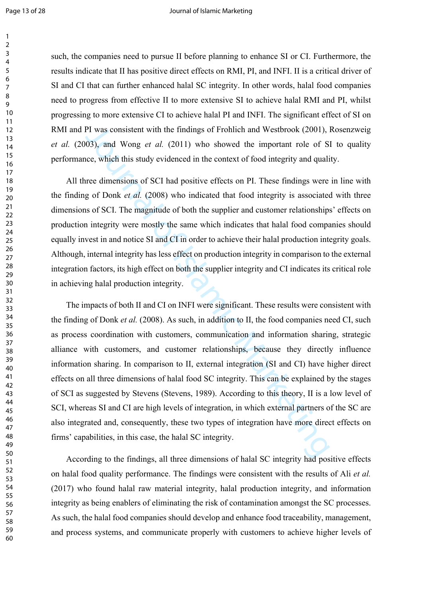#### Page 13 of 28 **Decision 12 Occident Page 13 of 28** Journal of Islamic Marketing

such, the companies need to pursue II before planning to enhance SI or CI. Furthermore, the results indicate that II has positive direct effects on RMI, PI, and INFI. II is a critical driver of SI and CI that can further enhanced halal SC integrity. In other words, halal food companies need to progress from effective II to more extensive SI to achieve halal RMI and PI, whilst progressing to more extensive CI to achieve halal PI and INFI. The significant effect of SI on RMI and PI was consistent with the findings of Frohlich and Westbrook (2001), Rosenzweig *et al.* (2003), and Wong *et al.* (2011) who showed the important role of SI to quality performance, which this study evidenced in the context of food integrity and quality.

All three dimensions of SCI had positive effects on PI. These findings were in line with the finding of Donk *et al.* (2008) who indicated that food integrity is associated with three dimensions of SCI. The magnitude of both the supplier and customer relationships' effects on production integrity were mostly the same which indicates that halal food companies should equally invest in and notice SI and CI in order to achieve their halal production integrity goals. Although, internal integrity has less effect on production integrity in comparison to the external integration factors, its high effect on both the supplier integrity and CI indicates its critical role in achieving halal production integrity.

PI was consistent with the findings of Frohlich and Westbrook (2001), 003), and Wong *et al.* (2011) who showed the important role of Sl core, which this study evidenced in the context of food integrity and quali<br>ree dime The impacts of both II and CI on INFI were significant. These results were consistent with the finding of Donk *et al.* (2008). As such, in addition to II, the food companies need CI, such as process coordination with customers, communication and information sharing, strategic alliance with customers, and customer relationships, because they directly influence information sharing. In comparison to II, external integration (SI and CI) have higher direct effects on all three dimensions of halal food SC integrity. This can be explained by the stages of SCI as suggested by Stevens (Stevens, 1989). According to this theory, II is a low level of SCI, whereas SI and CI are high levels of integration, in which external partners of the SC are also integrated and, consequently, these two types of integration have more direct effects on firms' capabilities, in this case, the halal SC integrity.

According to the findings, all three dimensions of halal SC integrity had positive effects on halal food quality performance. The findings were consistent with the results of Ali *et al.* (2017) who found halal raw material integrity, halal production integrity, and information integrity as being enablers of eliminating the risk of contamination amongst the SC processes. As such, the halal food companies should develop and enhance food traceability, management, and process systems, and communicate properly with customers to achieve higher levels of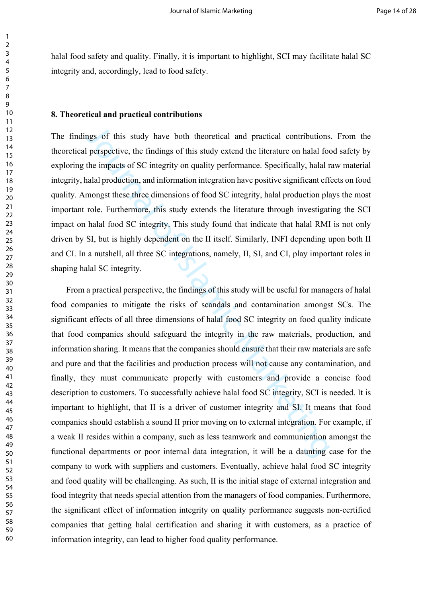halal food safety and quality. Finally, it is important to highlight, SCI may facilitate halal SC integrity and, accordingly, lead to food safety.

#### **8. Theoretical and practical contributions**

The findings of this study have both theoretical and practical contributions. From the theoretical perspective, the findings of this study extend the literature on halal food safety by exploring the impacts of SC integrity on quality performance. Specifically, halal raw material integrity, halal production, and information integration have positive significant effects on food quality. Amongst these three dimensions of food SC integrity, halal production plays the most important role. Furthermore, this study extends the literature through investigating the SCI impact on halal food SC integrity. This study found that indicate that halal RMI is not only driven by SI, but is highly dependent on the II itself. Similarly, INFI depending upon both II and CI. In a nutshell, all three SC integrations, namely, II, SI, and CI, play important roles in shaping halal SC integrity.

ngs of this study have both theoretical and practical contributions<br>1 perspective, the findings of this study extend the literature on halal fo<br>the impacts of SC integrity on quality performance. Specifically, halal r<br>hala From a practical perspective, the findings of this study will be useful for managers of halal food companies to mitigate the risks of scandals and contamination amongst SCs. The significant effects of all three dimensions of halal food SC integrity on food quality indicate that food companies should safeguard the integrity in the raw materials, production, and information sharing. It means that the companies should ensure that their raw materials are safe and pure and that the facilities and production process will not cause any contamination, and finally, they must communicate properly with customers and provide a concise food description to customers. To successfully achieve halal food SC integrity, SCI is needed. It is important to highlight, that II is a driver of customer integrity and SI. It means that food companies should establish a sound II prior moving on to external integration. For example, if a weak II resides within a company, such as less teamwork and communication amongst the functional departments or poor internal data integration, it will be a daunting case for the company to work with suppliers and customers. Eventually, achieve halal food SC integrity and food quality will be challenging. As such, II is the initial stage of external integration and food integrity that needs special attention from the managers of food companies. Furthermore, the significant effect of information integrity on quality performance suggests non-certified companies that getting halal certification and sharing it with customers, as a practice of information integrity, can lead to higher food quality performance.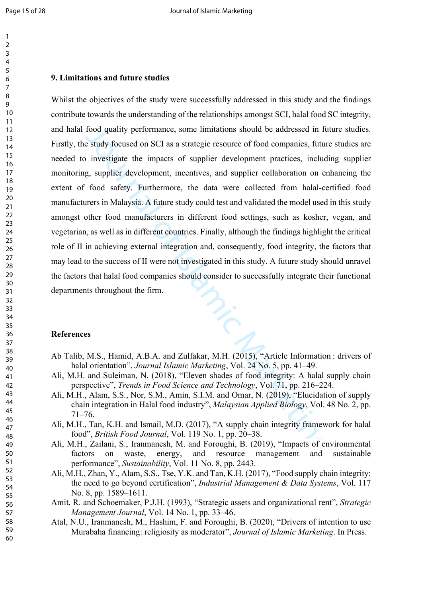food quality performance, some limitations should be addressed in fut<br>study focused on SCI as a strategic resource of food companies, future<br>investigate the impacts of supplicr development practices, includi<br>g, supplicr de Whilst the objectives of the study were successfully addressed in this study and the findings contribute towards the understanding of the relationships amongst SCI, halal food SC integrity, and halal food quality performance, some limitations should be addressed in future studies. Firstly, the study focused on SCI as a strategic resource of food companies, future studies are needed to investigate the impacts of supplier development practices, including supplier monitoring, supplier development, incentives, and supplier collaboration on enhancing the extent of food safety. Furthermore, the data were collected from halal-certified food manufacturers in Malaysia. A future study could test and validated the model used in this study amongst other food manufacturers in different food settings, such as kosher, vegan, and vegetarian, as well as in different countries. Finally, although the findings highlight the critical role of II in achieving external integration and, consequently, food integrity, the factors that may lead to the success of II were not investigated in this study. A future study should unravel the factors that halal food companies should consider to successfully integrate their functional departments throughout the firm.

#### **References**

- Ab Talib, M.S., Hamid, A.B.A. and Zulfakar, M.H. (2015), "Article Information : drivers of halal orientation", *Journal Islamic Marketing*, Vol. 24 No. 5, pp. 41–49.
- Ali, M.H. and Suleiman, N. (2018), "Eleven shades of food integrity: A halal supply chain perspective", *Trends in Food Science and Technology*, Vol. 71, pp. 216–224.
- Ali, M.H., Alam, S.S., Nor, S.M., Amin, S.I.M. and Omar, N. (2019), "Elucidation of supply chain integration in Halal food industry", *Malaysian Applied Biology*, Vol. 48 No. 2, pp. 71–76.
- Ali, M.H., Tan, K.H. and Ismail, M.D. (2017), "A supply chain integrity framework for halal food", *British Food Journal*, Vol. 119 No. 1, pp. 20–38.
- Ali, M.H., Zailani, S., Iranmanesh, M. and Foroughi, B. (2019), "Impacts of environmental factors on waste, energy, and resource management and sustainable performance", *Sustainability*, Vol. 11 No. 8, pp. 2443.
- Ali, M.H., Zhan, Y., Alam, S.S., Tse, Y.K. and Tan, K.H. (2017), "Food supply chain integrity: the need to go beyond certification", *Industrial Management & Data Systems*, Vol. 117 No. 8, pp. 1589–1611.
- Amit, R. and Schoemaker, P.J.H. (1993), "Strategic assets and organizational rent", *Strategic Management Journal*, Vol. 14 No. 1, pp. 33–46.
- Atal, N.U., Iranmanesh, M., Hashim, F. and Foroughi, B. (2020), "Drivers of intention to use Murabaha financing: religiosity as moderator", *Journal of Islamic Marketing*. In Press.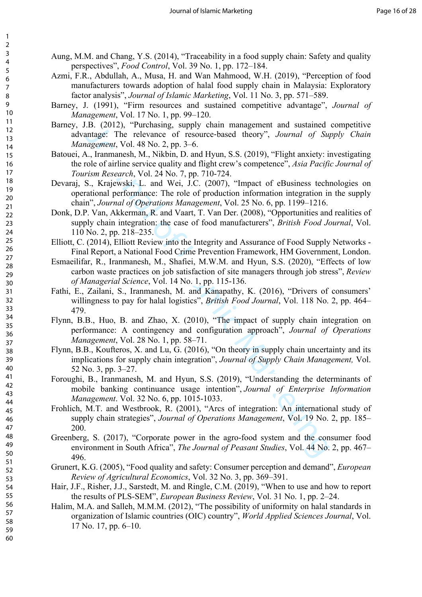- Aung, M.M. and Chang, Y.S. (2014), "Traceability in a food supply chain: Safety and quality perspectives", *Food Control*, Vol. 39 No. 1, pp. 172–184.
- Azmi, F.R., Abdullah, A., Musa, H. and Wan Mahmood, W.H. (2019), "Perception of food manufacturers towards adoption of halal food supply chain in Malaysia: Exploratory factor analysis", *Journal of Islamic Marketing*, Vol. 11 No. 3, pp. 571–589.
- Barney, J. (1991), "Firm resources and sustained competitive advantage", *Journal of Management*, Vol. 17 No. 1, pp. 99–120.
- Barney, J.B. (2012), "Purchasing, supply chain management and sustained competitive advantage: The relevance of resource‐based theory", *Journal of Supply Chain Management*, Vol. 48 No. 2, pp. 3–6.
- Batouei, A., Iranmanesh, M., Nikbin, D. and Hyun, S.S. (2019), "Flight anxiety: investigating the role of airline service quality and flight crew's competence", *Asia Pacific Journal of Tourism Research*, Vol. 24 No. 7, pp. 710-724.
- 15. (2012), Purchassing, supply chain management and sustained<br>antage: The relevance of resource-based theory", Journal of Sugagement, Vol. 48 No. 2, pp. 3-6.<br>
1, Jrammancsh, M., Nikbin, D. and Hyun, S.S. (2019), "Flight Devaraj, S., Krajewski, L. and Wei, J.C. (2007), "Impact of eBusiness technologies on operational performance: The role of production information integration in the supply chain", *Journal of Operations Management*, Vol. 25 No. 6, pp. 1199–1216.
- Donk, D.P. Van, Akkerman, R. and Vaart, T. Van Der. (2008), "Opportunities and realities of supply chain integration: the case of food manufacturers", *British Food Journal*, Vol. 110 No. 2, pp. 218–235.
- Elliott, C. (2014), Elliott Review into the Integrity and Assurance of Food Supply Networks Final Report, a National Food Crime Prevention Framework, HM Government, London.
- Esmaeilifar, R., Iranmanesh, M., Shafiei, M.W.M. and Hyun, S.S. (2020), "Effects of low carbon waste practices on job satisfaction of site managers through job stress", *Review of Managerial Science*, Vol. 14 No. 1, pp. 115-136.
- Fathi, E., Zailani, S., Iranmanesh, M. and Kanapathy, K. (2016), "Drivers of consumers' willingness to pay for halal logistics", *British Food Journal*, Vol. 118 No. 2, pp. 464– 479.
- Flynn, B.B., Huo, B. and Zhao, X. (2010), "The impact of supply chain integration on performance: A contingency and configuration approach", *Journal of Operations Management*, Vol. 28 No. 1, pp. 58–71.
- Flynn, B.B., Koufteros, X. and Lu, G. (2016), "On theory in supply chain uncertainty and its implications for supply chain integration", *Journal of Supply Chain Management,* Vol. 52 No. 3, pp. 3–27.
- Foroughi, B., Iranmanesh, M. and Hyun, S.S. (2019), "Understanding the determinants of mobile banking continuance usage intention", *Journal of Enterprise Information Management*. Vol. 32 No. 6, pp. 1015-1033.
- Frohlich, M.T. and Westbrook, R. (2001), "Arcs of integration: An international study of supply chain strategies", *Journal of Operations Management*, Vol. 19 No. 2, pp. 185– 200.
- Greenberg, S. (2017), "Corporate power in the agro-food system and the consumer food environment in South Africa", *The Journal of Peasant Studies*, Vol. 44 No. 2, pp. 467– 496.
- Grunert, K.G. (2005), "Food quality and safety: Consumer perception and demand", *European Review of Agricultural Economics*, Vol. 32 No. 3, pp. 369–391.
- Hair, J.F., Risher, J.J., Sarstedt, M. and Ringle, C.M. (2019), "When to use and how to report the results of PLS-SEM", *European Business Review*, Vol. 31 No. 1, pp. 2–24.
- Halim, M.A. and Salleh, M.M.M. (2012), "The possibility of uniformity on halal standards in organization of Islamic countries (OIC) country", *World Applied Sciences Journal*, Vol. 17 No. 17, pp. 6–10.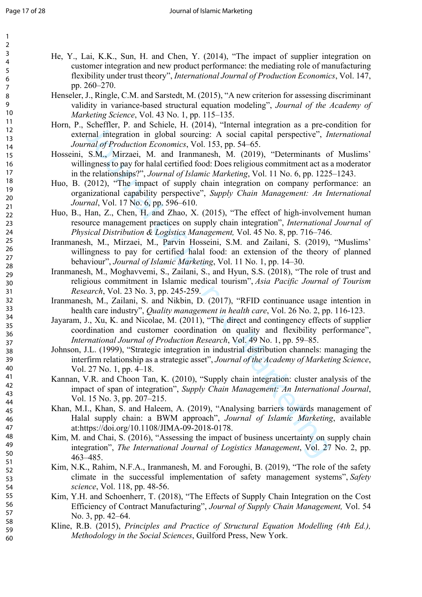- He, Y., Lai, K.K., Sun, H. and Chen, Y. (2014), "The impact of supplier integration on customer integration and new product performance: the mediating role of manufacturing flexibility under trust theory", *International Journal of Production Economics*, Vol. 147, pp. 260–270. Henseler, J., Ringle, C.M. and Sarstedt, M. (2015), "A new criterion for assessing discriminant
	- validity in variance-based structural equation modeling", *Journal of the Academy of Marketing Science*, Vol. 43 No. 1, pp. 115–135.
	- Horn, P., Scheffler, P. and Schiele, H. (2014), "Internal integration as a pre-condition for external integration in global sourcing: A social capital perspective", *International Journal of Production Economics*, Vol. 153, pp. 54–65.
	- Hosseini, S.M., Mirzaei, M. and Iranmanesh, M. (2019), "Determinants of Muslims' willingness to pay for halal certified food: Does religious commitment act as a moderator in the relationships?", *Journal of Islamic Marketing*, Vol. 11 No. 6, pp. 1225–1243.
	- Senement, P. and Scnement Integration and Integration as a pre-<br>eradinformal integration in global sourcing: A social capital perspective", *I*ndia for Production Economics, Vol. 153, pp. 54–65.<br>S.M., Mirazei, M. and Iran Huo, B. (2012), "The impact of supply chain integration on company performance: an organizational capability perspective", *Supply Chain Management: An International Journal*, Vol. 17 No. 6, pp. 596–610.
	- Huo, B., Han, Z., Chen, H. and Zhao, X. (2015), "The effect of high-involvement human resource management practices on supply chain integration", *International Journal of Physical Distribution & Logistics Management,* Vol. 45 No. 8, pp. 716–746.
	- Iranmanesh, M., Mirzaei, M., Parvin Hosseini, S.M. and Zailani, S. (2019), "Muslims' willingness to pay for certified halal food: an extension of the theory of planned behaviour", *Journal of Islamic Marketing*, Vol. 11 No. 1, pp. 14–30.
	- Iranmanesh, M., Moghavvemi, S., Zailani, S., and Hyun, S.S. (2018), "The role of trust and religious commitment in Islamic medical tourism", *Asia Pacific Journal of Tourism Research*, Vol. 23 No. 3, pp. 245-259.
	- Iranmanesh, M., Zailani, S. and Nikbin, D. (2017), "RFID continuance usage intention in health care industry", *Quality management in health care*, Vol. 26 No. 2, pp. 116-123.
	- Jayaram, J., Xu, K. and Nicolae, M. (2011), "The direct and contingency effects of supplier coordination and customer coordination on quality and flexibility performance", *International Journal of Production Research*, Vol. 49 No. 1, pp. 59–85.
	- Johnson, J.L. (1999), "Strategic integration in industrial distribution channels: managing the interfirm relationship as a strategic asset", *Journal of the Academy of Marketing Science*, Vol. 27 No. 1, pp. 4–18.
	- Kannan, V.R. and Choon Tan, K. (2010), "Supply chain integration: cluster analysis of the impact of span of integration", *Supply Chain Management: An International Journal*, Vol. 15 No. 3, pp. 207–215.
	- Khan, M.I., Khan, S. and Haleem, A. (2019), "Analysing barriers towards management of Halal supply chain: a BWM approach", *Journal of Islamic Marketing*, available at:https://doi.org/10.1108/JIMA-09-2018-0178.
	- Kim, M. and Chai, S. (2016), "Assessing the impact of business uncertainty on supply chain integration", *The International Journal of Logistics Management*, Vol. 27 No. 2, pp. 463–485.
	- Kim, N.K., Rahim, N.F.A., Iranmanesh, M. and Foroughi, B. (2019), "The role of the safety climate in the successful implementation of safety management systems", *Safety science*, Vol. 118, pp. 48-56.
	- Kim, Y.H. and Schoenherr, T. (2018), "The Effects of Supply Chain Integration on the Cost Efficiency of Contract Manufacturing", *Journal of Supply Chain Management,* Vol. 54 No. 3, pp. 42–64.
	- Kline, R.B. (2015), *Principles and Practice of Structural Equation Modelling (4th Ed.), Methodology in the Social Sciences*, Guilford Press, New York.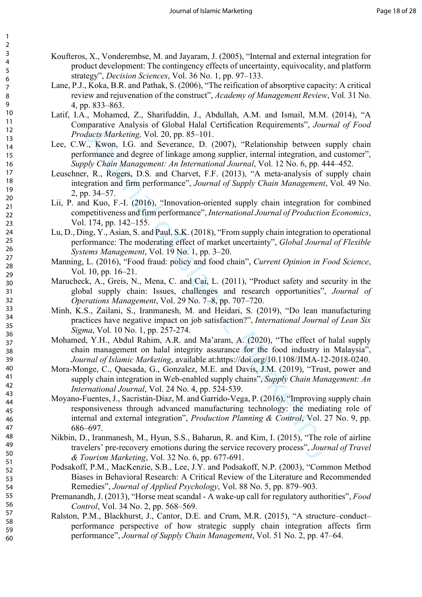- Koufteros, X., Vonderembse, M. and Jayaram, J. (2005), "Internal and external integration for product development: The contingency effects of uncertainty, equivocality, and platform strategy", *Decision Sciences*, Vol. 36 No. 1, pp. 97–133.
- Lane, P.J., Koka, B.R. and Pathak, S. (2006), "The reification of absorptive capacity: A critical review and rejuvenation of the construct", *Academy of Management Review*, Vol. 31 No. 4, pp. 833–863.
- Latif, I.A., Mohamed, Z., Sharifuddin, J., Abdullah, A.M. and Ismail, M.M. (2014), "A Comparative Analysis of Global Halal Certification Requirements", *Journal of Food Products Marketing,* Vol. 20, pp. 85–101.
- Lee, C.W., Kwon, I.G. and Severance, D. (2007), "Relationship between supply chain performance and degree of linkage among supplier, internal integration, and customer", *Supply Chain Management: An International Journal*, Vol. 12 No. 6, pp. 444–452.
- Leuschner, R., Rogers, D.S. and Charvet, F.F. (2013), "A meta-analysis of supply chain integration and firm performance", *Journal of Supply Chain Management*, Vol. 49 No. 2, pp. 34–57.
- Lii, P. and Kuo, F.-I. (2016), "Innovation-oriented supply chain integration for combined competitiveness and firm performance", *International Journal of Production Economics*, Vol. 174, pp. 142–155.
- Lu, D., Ding, Y., Asian, S. and Paul, S.K. (2018), "From supply chain integration to operational performance: The moderating effect of market uncertainty", *Global Journal of Flexible Systems Management*, Vol. 19 No. 1, pp. 3–20.
- Manning, L. (2016), "Food fraud: policy and food chain", *Current Opinion in Food Science*, Vol. 10, pp. 16–21.
- Marucheck, A., Greis, N., Mena, C. and Cai, L. (2011), "Product safety and security in the global supply chain: Issues, challenges and research opportunities", *Journal of Operations Management*, Vol. 29 No. 7–8, pp. 707–720.
- Minh, K.S., Zailani, S., Iranmanesh, M. and Heidari, S. (2019), "Do lean manufacturing practices have negative impact on job satisfaction?", *International Journal of Lean Six Sigma*, Vol. 10 No. 1, pp. 257-274.
- Mohamed, Y.H., Abdul Rahim, A.R. and Ma'aram, A. (2020), "The effect of halal supply chain management on halal integrity assurance for the food industry in Malaysia", *Journal of Islamic Marketing*, available at:https://doi.org/10.1108/JIMA-12-2018-0240.
- Mora-Monge, C., Quesada, G., Gonzalez, M.E. and Davis, J.M. (2019), "Trust, power and supply chain integration in Web-enabled supply chains", *Supply Chain Management: An International Journal*, Vol. 24 No. 4, pp. 524-539.
- mature Yntanyis or Großal riaal Certineation Requirements , Journal Charles Marketing, Vol. 20, pp. 85–101.<br>
<sup>1</sup><sub>Cr,</sub> Kwon, 1.G. and Severance, D. (2007), "Relationship between stormane and degree of linkage among supplic; Moyano-Fuentes, J., Sacristán-Díaz, M. and Garrido-Vega, P. (2016), "Improving supply chain responsiveness through advanced manufacturing technology: the mediating role of internal and external integration", *Production Planning & Control*, Vol. 27 No. 9, pp. 686–697.
- Nikbin, D., Iranmanesh, M., Hyun, S.S., Baharun, R. and Kim, I. (2015), "The role of airline travelers' pre-recovery emotions during the service recovery process", *Journal of Travel & Tourism Marketing*, Vol. 32 No. 6, pp. 677-691.
- Podsakoff, P.M., MacKenzie, S.B., Lee, J.Y. and Podsakoff, N.P. (2003), "Common Method Biases in Behavioral Research: A Critical Review of the Literature and Recommended Remedies", *Journal of Applied Psychology*, Vol. 88 No. 5, pp. 879–903.
- Premanandh, J. (2013), "Horse meat scandal A wake-up call for regulatory authorities", *Food Control*, Vol. 34 No. 2, pp. 568–569.
- Ralston, P.M., Blackhurst, J., Cantor, D.E. and Crum, M.R. (2015), "A structure–conduct– performance perspective of how strategic supply chain integration affects firm performance", *Journal of Supply Chain Management*, Vol. 51 No. 2, pp. 47–64.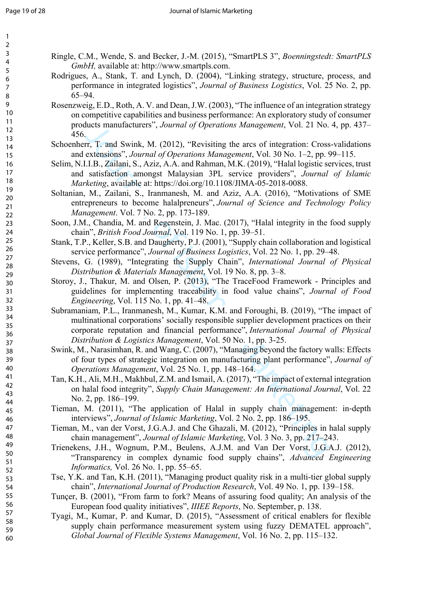- Ringle, C.M., Wende, S. and Becker, J.-M. (2015), "SmartPLS 3", *Boenningstedt: SmartPLS GmbH,* available at: http://www.smartpls.com.
- Rodrigues, A., Stank, T. and Lynch, D. (2004), "Linking strategy, structure, process, and performance in integrated logistics", *Journal of Business Logistics*, Vol. 25 No. 2, pp. 65–94.
- Rosenzweig, E.D., Roth, A. V. and Dean, J.W. (2003), "The influence of an integration strategy on competitive capabilities and business performance: An exploratory study of consumer products manufacturers", *Journal of Operations Management*, Vol. 21 No. 4, pp. 437– 456.
- Schoenherr, T. and Swink, M. (2012), "Revisiting the arcs of integration: Cross-validations and extensions", *Journal of Operations Management*, Vol. 30 No. 1–2, pp. 99–115.
- Selim, N.I.I.B., Zailani, S., Aziz, A.A. and Rahman, M.K. (2019), "Halal logistic services, trust and satisfaction amongst Malaysian 3PL service providers", *Journal of Islamic Marketing*, available at: https://doi.org/10.1108/JIMA-05-2018-0088.
- Soltanian, M., Zailani, S., Iranmanesh, M. and Aziz, A.A. (2016), "Motivations of SME entrepreneurs to become halalpreneurs", *Journal of Science and Technology Policy Management*. Vol. 7 No. 2, pp. 173-189.
- Soon, J.M., Chandia, M. and Regenstein, J. Mac. (2017), "Halal integrity in the food supply chain", *British Food Journal*, Vol. 119 No. 1, pp. 39–51.
- Stank, T.P., Keller, S.B. and Daugherty, P.J. (2001), "Supply chain collaboration and logistical service performance", *Journal of Business Logistics*, Vol. 22 No. 1, pp. 29–48.
- Stevens, G. (1989), "Integrating the Supply Chain", *International Journal of Physical Distribution & Materials Management*, Vol. 19 No. 8, pp. 3–8.
- Storoy, J., Thakur, M. and Olsen, P. (2013), "The TraceFood Framework Principles and guidelines for implementing traceability in food value chains", *Journal of Food Engineering*, Vol. 115 No. 1, pp. 41–48.
- ntets manuacturets , Journal of Operations Management, Vol. 21 No.<br>
r.r, T. and Swink, M. (2012), "Revisiting the arts of integration: Cross<br>
extrestisois", Journal of Operations Management, Vol. 30 No. 1–2, pp.<br>
1.1B., Za Subramaniam, P.L., Iranmanesh, M., Kumar, K.M. and Foroughi, B. (2019), "The impact of multinational corporations' socially responsible supplier development practices on their corporate reputation and financial performance", *International Journal of Physical Distribution & Logistics Management*, Vol. 50 No. 1, pp. 3-25.
- Swink, M., Narasimhan, R. and Wang, C. (2007), "Managing beyond the factory walls: Effects of four types of strategic integration on manufacturing plant performance", *Journal of Operations Management*, Vol. 25 No. 1, pp. 148–164.
- Tan, K.H., Ali, M.H., Makhbul, Z.M. and Ismail, A. (2017), "The impact of external integration on halal food integrity", *Supply Chain Management: An International Journal*, Vol. 22 No. 2, pp. 186–199.
- Tieman, M. (2011), "The application of Halal in supply chain management: in‐depth interviews", *Journal of Islamic Marketing*, Vol. 2 No. 2, pp. 186–195.
- Tieman, M., van der Vorst, J.G.A.J. and Che Ghazali, M. (2012), "Principles in halal supply chain management", *Journal of Islamic Marketing*, Vol. 3 No. 3, pp. 217–243.
- Trienekens, J.H., Wognum, P.M., Beulens, A.J.M. and Van Der Vorst, J.G.A.J. (2012), "Transparency in complex dynamic food supply chains", *Advanced Engineering Informatics,* Vol. 26 No. 1, pp. 55–65.
- Tse, Y.K. and Tan, K.H. (2011), "Managing product quality risk in a multi-tier global supply chain", *International Journal of Production Research*, Vol. 49 No. 1, pp. 139–158.
- Tunçer, B. (2001), "From farm to fork? Means of assuring food quality; An analysis of the European food quality initiatives", *IIIEE Reports*, No. September, p. 138.
- Tyagi, M., Kumar, P. and Kumar, D. (2015), "Assessment of critical enablers for flexible supply chain performance measurement system using fuzzy DEMATEL approach", *Global Journal of Flexible Systems Management*, Vol. 16 No. 2, pp. 115–132.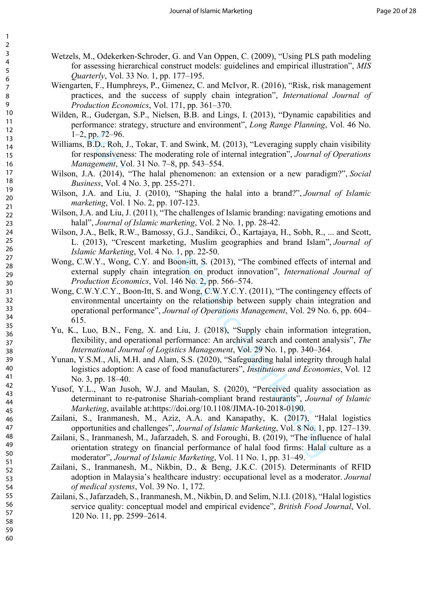- Wetzels, M., Odekerken-Schroder, G. and Van Oppen, C. (2009), "Using PLS path modeling for assessing hierarchical construct models: guidelines and empirical illustration", *MIS Quarterly*, Vol. 33 No. 1, pp. 177–195.
	- Wiengarten, F., Humphreys, P., Gimenez, C. and McIvor, R. (2016), "Risk, risk management practices, and the success of supply chain integration", *International Journal of Production Economics*, Vol. 171, pp. 361–370.
	- Wilden, R., Gudergan, S.P., Nielsen, B.B. and Lings, I. (2013), "Dynamic capabilities and performance: strategy, structure and environment", *Long Range Planning*, Vol. 46 No. 1–2, pp. 72–96.
	- Williams, B.D., Roh, J., Tokar, T. and Swink, M. (2013), "Leveraging supply chain visibility for responsiveness: The moderating role of internal integration", *Journal of Operations Management*, Vol. 31 No. 7–8, pp. 543–554.
- Wilson, J.A. (2014), "The halal phenomenon: an extension or a new paradigm?", *Social Business*, Vol. 4 No. 3, pp. 255-271.
- Wilson, J.A. and Liu, J. (2010), "Shaping the halal into a brand?", *Journal of Islamic marketing*, Vol. 1 No. 2, pp. 107-123.
- Wilson, J.A. and Liu, J. (2011), "The challenges of Islamic branding: navigating emotions and halal", *Journal of Islamic marketing*, Vol. 2 No. 1, pp. 28-42.
- Wilson, J.A., Belk, R.W., Bamossy, G.J., Sandikci, Ö., Kartajaya, H., Sobh, R., ... and Scott, L. (2013), "Crescent marketing, Muslim geographies and brand Islam", *Journal of Islamic Marketing*, Vol. 4 No. 1, pp. 22-50.
- Wong, C.W.Y., Wong, C.Y. and Boon-itt, S. (2013), "The combined effects of internal and external supply chain integration on product innovation", *International Journal of Production Economics*, Vol. 146 No. 2, pp. 566–574.
- ormance: strategy, structure and environment , *Long Kange Pianning*,<br>
ormance: strategy, structure and environment , *Long Kange Pianning*,<br>
B.D., Roh, J., Tokar, T. and Swink, M. (2013), "Leveraging supply charges<br>
respo Wong, C.W.Y.C.Y., Boon-Itt, S. and Wong, C.W.Y.C.Y. (2011), "The contingency effects of environmental uncertainty on the relationship between supply chain integration and operational performance", *Journal of Operations Management*, Vol. 29 No. 6, pp. 604– 615.
- Yu, K., Luo, B.N., Feng, X. and Liu, J. (2018), "Supply chain information integration, flexibility, and operational performance: An archival search and content analysis", *The International Journal of Logistics Management*, Vol. 29 No. 1, pp. 340–364.
- Yunan, Y.S.M., Ali, M.H. and Alam, S.S. (2020), "Safeguarding halal integrity through halal logistics adoption: A case of food manufacturers", *Institutions and Economies*, Vol. 12 No. 3, pp. 18–40.
- Yusof, Y.L., Wan Jusoh, W.J. and Maulan, S. (2020), "Perceived quality association as determinant to re-patronise Shariah-compliant brand restaurants", *Journal of Islamic Marketing*, available at:https://doi.org/10.1108/JIMA-10-2018-0190.
- Zailani, S., Iranmanesh, M., Aziz, A.A. and Kanapathy, K. (2017), "Halal logistics opportunities and challenges", *Journal of Islamic Marketing*, Vol. 8 No. 1, pp. 127–139.
- Zailani, S., Iranmanesh, M., Jafarzadeh, S. and Foroughi, B. (2019), "The influence of halal orientation strategy on financial performance of halal food firms: Halal culture as a moderator", *Journal of Islamic Marketing*, Vol. 11 No. 1, pp. 31–49.
- Zailani, S., Iranmanesh, M., Nikbin, D., & Beng, J.K.C. (2015). Determinants of RFID adoption in Malaysia's healthcare industry: occupational level as a moderator. *Journal of medical systems*, Vol. 39 No. 1, 172.
- Zailani, S., Jafarzadeh, S., Iranmanesh, M., Nikbin, D. and Selim, N.I.I. (2018), "Halal logistics service quality: conceptual model and empirical evidence", *British Food Journal*, Vol. 120 No. 11, pp. 2599–2614.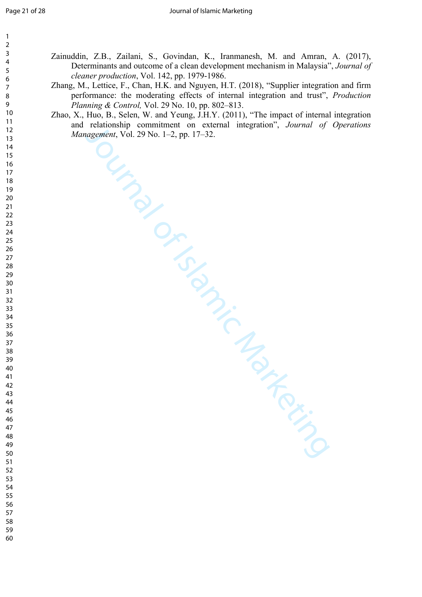- Zainuddin, Z.B., Zailani, S., Govindan, K., Iranmanesh, M. and Amran, A. (2017), Determinants and outcome of a clean development mechanism in Malaysia", *Journal of cleaner production*, Vol. 142, pp. 1979-1986.
	- Zhang, M., Lettice, F., Chan, H.K. and Nguyen, H.T. (2018), "Supplier integration and firm performance: the moderating effects of internal integration and trust", *Production Planning & Control,* Vol. 29 No. 10, pp. 802–813.
	- Formal of The Stephen Wolfendal of The Stephen Wolfendal of The Stephen Wolfendal of The Stephen Wolfendal of The Stephen Wolfendal of The Stephen Wolfendal of The Stephen Wolfendal of The Stephen Wolfendal of The Stephen Zhao, X., Huo, B., Selen, W. and Yeung, J.H.Y. (2011), "The impact of internal integration and relationship commitment on external integration", *Journal of Operations Management*, Vol. 29 No. 1–2, pp. 17–32.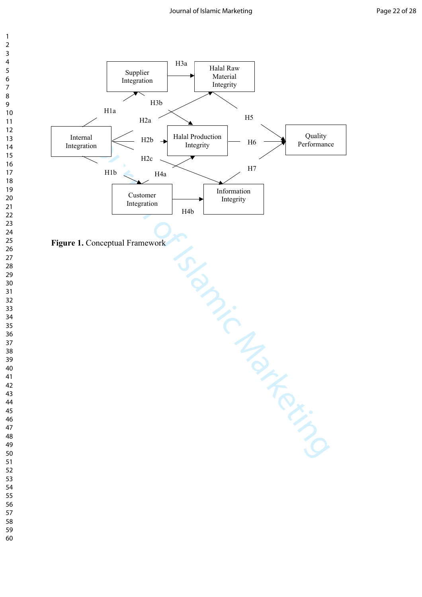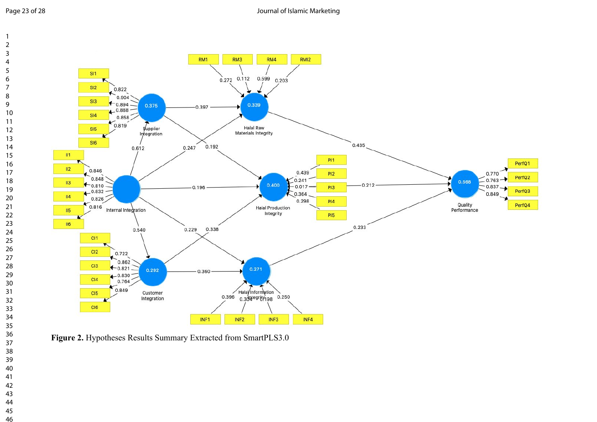

**Figure 2.** Hypotheses Results Summary Extracted from SmartPLS3.0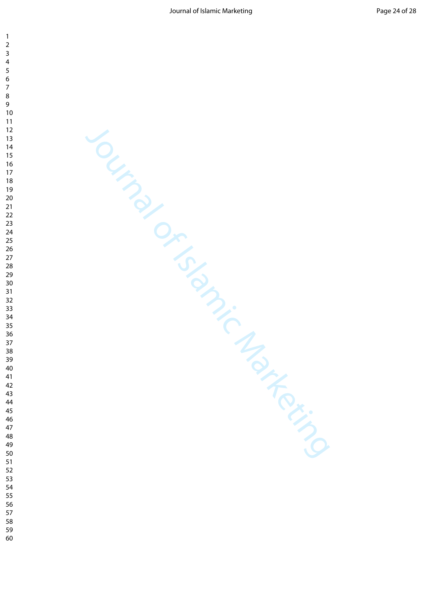Journal of Islamic Marketing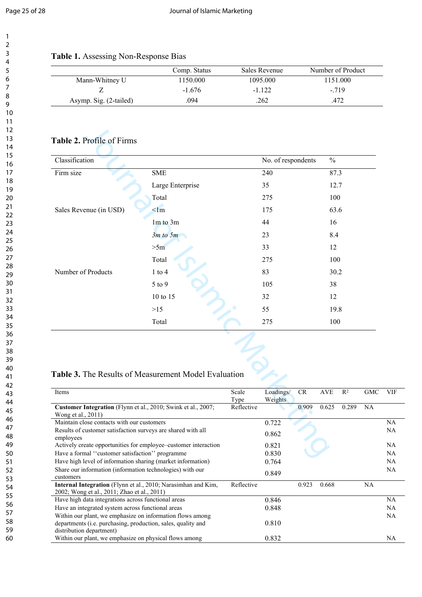| Table 1. Assessing Non-Response Bias |  |  |  |
|--------------------------------------|--|--|--|
|--------------------------------------|--|--|--|

|                        | Comp. Status | Sales Revenue | Number of Product |
|------------------------|--------------|---------------|-------------------|
| Mann-Whitney U         | 1150.000     | 1095.000      | 1151.000          |
|                        | $-1.676$     | $-1.122$      | $-719$            |
| Asymp. Sig. (2-tailed) | .094         | 262           | .472              |

# **Table 2.** Profile of Firms

| Classification                                                                                                                                                                                                                      |                                                                 |               | No. of respondents            |            | $\frac{0}{0}$                 |       |            |  |
|-------------------------------------------------------------------------------------------------------------------------------------------------------------------------------------------------------------------------------------|-----------------------------------------------------------------|---------------|-------------------------------|------------|-------------------------------|-------|------------|--|
| Firm size                                                                                                                                                                                                                           | <b>SME</b>                                                      |               | 240                           |            | 87.3                          |       |            |  |
|                                                                                                                                                                                                                                     | Large Enterprise                                                |               | 35                            |            |                               | 12.7  |            |  |
|                                                                                                                                                                                                                                     | Total                                                           |               | 275                           |            | 100                           |       |            |  |
| Sales Revenue (in USD)                                                                                                                                                                                                              | $\leq$ lm                                                       |               | 175                           |            | 63.6                          |       |            |  |
|                                                                                                                                                                                                                                     | 1m to 3m                                                        |               | 44                            |            | 16                            |       |            |  |
|                                                                                                                                                                                                                                     | 3m to 5m                                                        |               | 23                            |            | 8.4                           |       |            |  |
|                                                                                                                                                                                                                                     | >5m                                                             |               | 33                            |            | 12                            |       |            |  |
|                                                                                                                                                                                                                                     | Total                                                           |               | 275                           |            | 100                           |       |            |  |
| Number of Products                                                                                                                                                                                                                  | $1$ to $4$                                                      |               | 83                            |            |                               | 30.2  |            |  |
|                                                                                                                                                                                                                                     | 5 to 9                                                          |               | 105                           |            | 38                            |       |            |  |
|                                                                                                                                                                                                                                     | 10 to 15                                                        |               | 32                            |            |                               | 12    |            |  |
|                                                                                                                                                                                                                                     | $>15$                                                           |               | 55                            |            | 19.8                          |       |            |  |
|                                                                                                                                                                                                                                     | Total                                                           |               | 275                           |            | 100                           |       |            |  |
|                                                                                                                                                                                                                                     | <b>Table 3.</b> The Results of Measurement Model Evaluation     |               |                               |            |                               |       |            |  |
| Items                                                                                                                                                                                                                               |                                                                 | Scale<br>Type | Loadings/<br>Weights          | ${\rm CR}$ | $\operatorname{\mathsf{AVE}}$ | $R^2$ | <b>GMC</b> |  |
| Customer Integration (Flynn et al., 2010; Swink et al., 2007;<br>Wong et al., 2011)                                                                                                                                                 | Reflective                                                      |               | 0.909                         | 0.625      | 0.289                         | NA    |            |  |
| Maintain close contacts with our customers<br>Results of customer satisfaction surveys are shared with all                                                                                                                          |                                                                 |               | 0.722                         |            |                               |       |            |  |
| employees                                                                                                                                                                                                                           |                                                                 |               | 0.862                         |            |                               |       |            |  |
|                                                                                                                                                                                                                                     | Actively create opportunities for employee-customer interaction |               | 0.821                         |            |                               |       |            |  |
| Have a formal "customer satisfaction" programme<br>$TT_{\rm eff}$ and $T_{\rm eff}$ and $T_{\rm eff}$ are $C_{\rm eff}$ and $C_{\rm eff}$ and $C_{\rm eff}$ and $C_{\rm eff}$ are $C_{\rm eff}$ and $C_{\rm eff}$ and $C_{\rm eff}$ |                                                                 |               | 0.830<br>$\sim$ $\sim$ $\sim$ |            |                               |       |            |  |

## **Table 3.** The Results of Measurement Model Evaluation

| Scale      | Loadings/ | <b>CR</b>      | <b>AVE</b> | $R^2$ | <b>GMC</b> | VIF       |  |
|------------|-----------|----------------|------------|-------|------------|-----------|--|
| Type       | Weights   |                |            |       |            |           |  |
| Reflective |           | 0.909          | 0.625      | 0.289 | <b>NA</b>  |           |  |
|            |           |                |            |       |            |           |  |
|            | 0.722     |                |            |       |            | NA        |  |
|            |           |                |            |       |            | NA        |  |
|            |           |                |            |       |            |           |  |
|            | 0.821     |                |            |       |            | NA        |  |
|            | 0.830     |                |            |       |            | NA        |  |
|            | 0.764     |                |            |       |            | <b>NA</b> |  |
|            |           |                |            |       |            | NA        |  |
|            |           |                |            |       |            |           |  |
| Reflective |           | 0.923          | 0.668      |       | <b>NA</b>  |           |  |
|            |           |                |            |       |            |           |  |
|            | 0.846     |                |            |       |            | <b>NA</b> |  |
|            | 0.848     |                |            |       |            | NA        |  |
|            |           |                |            |       |            | <b>NA</b> |  |
|            | 0.810     |                |            |       |            |           |  |
|            |           |                |            |       |            |           |  |
|            | 0.832     |                |            |       |            | NA        |  |
|            |           | 0.862<br>0.849 |            |       |            |           |  |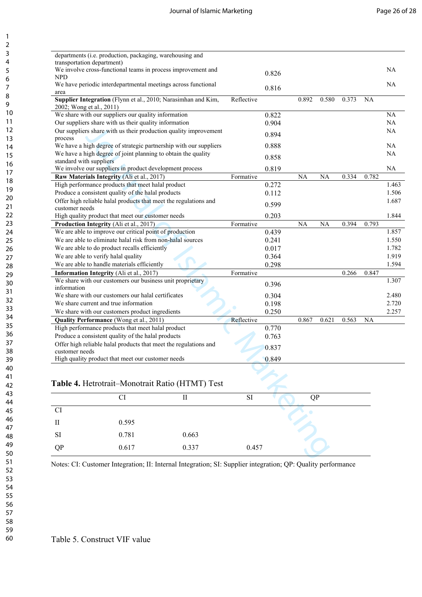|                                     | departments (i.e. production, packaging, warehousing and                                            |                                                                   |            |       |           |           |       |           |           |
|-------------------------------------|-----------------------------------------------------------------------------------------------------|-------------------------------------------------------------------|------------|-------|-----------|-----------|-------|-----------|-----------|
| transportation department)          |                                                                                                     | We involve cross-functional teams in process improvement and      |            |       |           |           |       |           | <b>NA</b> |
| <b>NPD</b>                          |                                                                                                     |                                                                   |            | 0.826 |           |           |       |           |           |
|                                     |                                                                                                     | We have periodic interdepartmental meetings across functional     |            | 0.816 |           |           |       |           | <b>NA</b> |
| area                                |                                                                                                     |                                                                   |            |       |           |           |       |           |           |
| 2002; Wong et al., 2011)            |                                                                                                     | Supplier Integration (Flynn et al., 2010; Narasimhan and Kim,     | Reflective |       | 0.892     | 0.580     | 0.373 | <b>NA</b> |           |
|                                     | We share with our suppliers our quality information                                                 |                                                                   |            | 0.822 |           |           |       |           | NA        |
|                                     | Our suppliers share with us their quality information                                               |                                                                   |            | 0.904 |           |           |       |           | <b>NA</b> |
| process                             |                                                                                                     | Our suppliers share with us their production quality improvement  |            | 0.894 |           |           |       |           | NA        |
|                                     |                                                                                                     | We have a high degree of strategic partnership with our suppliers |            | 0.888 |           |           |       |           | <b>NA</b> |
| standard with suppliers             |                                                                                                     | We have a high degree of joint planning to obtain the quality     |            | 0.858 |           |           |       |           | <b>NA</b> |
|                                     | We involve our suppliers in product development process                                             |                                                                   |            | 0.819 |           |           |       |           | <b>NA</b> |
|                                     | Raw Materials Integrity (Ali et al., 2017)                                                          |                                                                   | Formative  |       | NA        | NA        | 0.334 | 0.782     |           |
|                                     | High performance products that meet halal product                                                   |                                                                   |            | 0.272 |           |           |       |           | 1.463     |
|                                     | Produce a consistent quality of the halal products                                                  |                                                                   |            | 0.112 |           |           |       |           | 1.506     |
|                                     |                                                                                                     | Offer high reliable halal products that meet the regulations and  |            | 0.599 |           |           |       |           | 1.687     |
| customer needs                      |                                                                                                     |                                                                   |            |       |           |           |       |           |           |
|                                     | High quality product that meet our customer needs<br><b>Production Integrity</b> (Ali et al., 2017) |                                                                   |            | 0.203 |           |           |       |           | 1.844     |
|                                     | We are able to improve our critical point of production                                             |                                                                   | Formative  | 0.439 | NA        | <b>NA</b> | 0.394 | 0.793     | 1.857     |
|                                     | We are able to eliminate halal risk from non-halal sources                                          |                                                                   |            | 0.241 |           |           |       |           | 1.550     |
|                                     | We are able to do product recalls efficiently                                                       |                                                                   |            | 0.017 |           |           |       |           | 1.782     |
| We are able to verify halal quality |                                                                                                     |                                                                   |            | 0.364 |           |           |       |           | 1.919     |
|                                     | We are able to handle materials efficiently                                                         |                                                                   |            | 0.298 |           |           |       |           | 1.594     |
|                                     | Information Integrity (Ali et al., 2017)                                                            |                                                                   | Formative  |       |           |           | 0.266 | 0.847     |           |
|                                     | We share with our customers our business unit proprietary                                           |                                                                   |            |       |           |           |       |           | 1.307     |
| information                         |                                                                                                     |                                                                   |            | 0.396 |           |           |       |           |           |
|                                     | We share with our customers our halal certificates                                                  |                                                                   |            | 0.304 |           |           |       |           | 2.480     |
|                                     | We share current and true information                                                               |                                                                   |            | 0.198 |           |           |       |           | 2.720     |
|                                     | We share with our customers product ingredients                                                     |                                                                   |            | 0.250 |           |           |       |           | 2.257     |
|                                     | Quality Performance (Wong et al., 2011)                                                             |                                                                   | Reflective |       | 0.867     | 0.621     | 0.563 | <b>NA</b> |           |
|                                     | High performance products that meet halal product                                                   |                                                                   |            | 0.770 |           |           |       |           |           |
|                                     | Produce a consistent quality of the halal products                                                  |                                                                   |            | 0.763 |           |           |       |           |           |
| customer needs                      |                                                                                                     | Offer high reliable halal products that meet the regulations and  |            | 0.837 |           |           |       |           |           |
|                                     | High quality product that meet our customer needs                                                   |                                                                   |            | 0.849 |           |           |       |           |           |
|                                     |                                                                                                     |                                                                   |            |       |           |           |       |           |           |
|                                     |                                                                                                     |                                                                   |            |       |           |           |       |           |           |
|                                     |                                                                                                     | Table 4. Hetrotrait-Monotrait Ratio (HTMT) Test                   |            |       |           |           |       |           |           |
|                                     |                                                                                                     |                                                                   |            |       |           |           |       |           |           |
|                                     | CI                                                                                                  | $\rm II$                                                          | $\rm SI$   |       | <b>QP</b> |           |       |           |           |
|                                     |                                                                                                     |                                                                   |            |       |           |           |       |           |           |
| CI                                  |                                                                                                     |                                                                   |            |       |           |           |       |           |           |
| $\rm II$                            | 0.595                                                                                               |                                                                   |            |       |           |           |       |           |           |
| $\rm SI$                            | 0.781                                                                                               | 0.663                                                             |            |       |           |           |       |           |           |

## **Table 4.** Hetrotrait–Monotrait Ratio (HTMT) Test

|           | CI    |       | SI<br>QP |
|-----------|-------|-------|----------|
| CI        |       |       |          |
| П         | 0.595 |       |          |
| <b>SI</b> | 0.781 | 0.663 |          |
| QP        | 0.617 | 0.337 | 0.457    |

Notes: CI: Customer Integration; II: Internal Integration; SI: Supplier integration; QP: Quality performance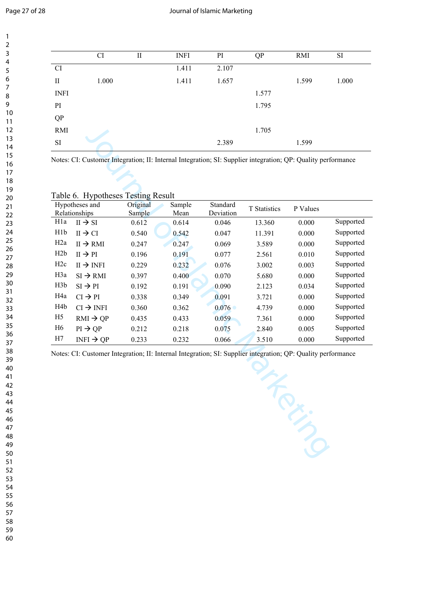| <sup>3</sup> age 27 of 28 |  |  |  |  |
|---------------------------|--|--|--|--|
|---------------------------|--|--|--|--|

|             | CI    | П | <b>INFI</b> | PI    | QP    | RMI   | <b>SI</b> |
|-------------|-------|---|-------------|-------|-------|-------|-----------|
| <b>CI</b>   |       |   | 1.411       | 2.107 |       |       |           |
| П           | 1.000 |   | 1.411       | 1.657 |       | 1.599 | 1.000     |
| <b>INFI</b> |       |   |             |       | 1.577 |       |           |
| PI          |       |   |             |       | 1.795 |       |           |
| QP          |       |   |             |       |       |       |           |
| <b>RMI</b>  |       |   |             |       | 1.705 |       |           |
| <b>SI</b>   |       |   |             | 2.389 |       | 1.599 |           |
|             |       |   |             |       |       |       |           |

Notes: CI: Customer Integration; II: Internal Integration; SI: Supplier integration; QP: Quality performance

#### Table 6. Hypotheses Testing Result

| Hypotheses and        | Original | Sample | Standard  |        |              |           |
|-----------------------|----------|--------|-----------|--------|--------------|-----------|
| Relationships         | Sample   | Mean   | Deviation |        |              |           |
| $II \rightarrow SI$   | 0.612    | 0.614  | 0.046     | 13.360 | 0.000        | Supported |
| $II \rightarrow CI$   | 0.540    | 0.542  | 0.047     | 11.391 | 0.000        | Supported |
| $II \rightarrow RMI$  | 0.247    | 0.247  | 0.069     | 3.589  | 0.000        | Supported |
| $II \rightarrow PI$   | 0.196    | 0.191  | 0.077     | 2.561  | 0.010        | Supported |
| $II \rightarrow INFI$ | 0.229    | 0.232  | 0.076     | 3.002  | 0.003        | Supported |
| $SI \rightarrow RMI$  | 0.397    | 0.400  | 0.070     | 5.680  | 0.000        | Supported |
| $SI \rightarrow PI$   | 0.192    | 0.191  | 0.090     | 2.123  | 0.034        | Supported |
| $CI \rightarrow PI$   | 0.338    | 0.349  | 0.091     | 3.721  | 0.000        | Supported |
| $CI \rightarrow INFI$ | 0.360    | 0.362  | 0.076     | 4.739  | 0.000        | Supported |
| $RMI \rightarrow QP$  | 0.435    | 0.433  | 0.059     | 7.361  | 0.000        | Supported |
| $PI \rightarrow QP$   | 0.212    | 0.218  | 0.075     | 2.840  | 0.005        | Supported |
| INFI $\rightarrow$ QP | 0.233    | 0.232  | 0.066     | 3.510  | 0.000        | Supported |
|                       |          |        |           |        | T Statistics | P Values  |

Notes: CI: Customer Integration; II: Internal Integration; SI: Supplier integration; QP: Quality performance

on Housing